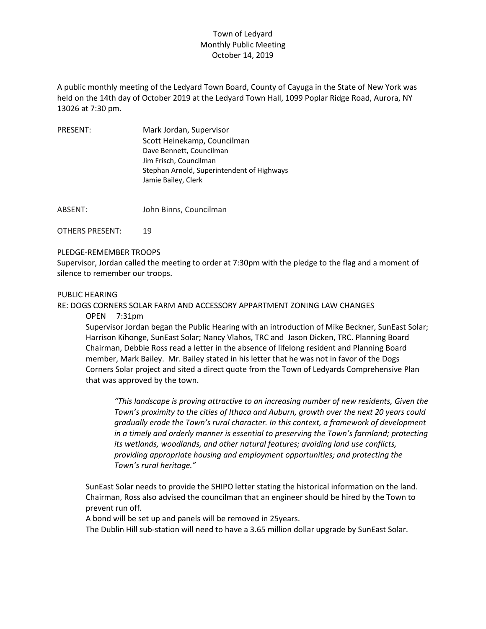## Town of Ledyard Monthly Public Meeting October 14, 2019

A public monthly meeting of the Ledyard Town Board, County of Cayuga in the State of New York was held on the 14th day of October 2019 at the Ledyard Town Hall, 1099 Poplar Ridge Road, Aurora, NY 13026 at 7:30 pm.

| <b>PRESENT:</b> | Mark Jordan, Supervisor                    |
|-----------------|--------------------------------------------|
|                 | Scott Heinekamp, Councilman                |
|                 | Dave Bennett, Councilman                   |
|                 | Jim Frisch, Councilman                     |
|                 | Stephan Arnold, Superintendent of Highways |
|                 | Jamie Bailey, Clerk                        |
|                 |                                            |

ABSENT: John Binns, Councilman

OTHERS PRESENT: 19

PLEDGE-REMEMBER TROOPS

Supervisor, Jordan called the meeting to order at 7:30pm with the pledge to the flag and a moment of silence to remember our troops.

#### PUBLIC HEARING

RE: DOGS CORNERS SOLAR FARM AND ACCESSORY APPARTMENT ZONING LAW CHANGES

OPEN 7:31pm

Supervisor Jordan began the Public Hearing with an introduction of Mike Beckner, SunEast Solar; Harrison Kihonge, SunEast Solar; Nancy Vlahos, TRC and Jason Dicken, TRC. Planning Board Chairman, Debbie Ross read a letter in the absence of lifelong resident and Planning Board member, Mark Bailey. Mr. Bailey stated in his letter that he was not in favor of the Dogs Corners Solar project and sited a direct quote from the Town of Ledyards Comprehensive Plan that was approved by the town.

*"This landscape is proving attractive to an increasing number of new residents, Given the Town's proximity to the cities of Ithaca and Auburn, growth over the next 20 years could gradually erode the Town's rural character. In this context, a framework of development in a timely and orderly manner is essential to preserving the Town's farmland; protecting its wetlands, woodlands, and other natural features; avoiding land use conflicts, providing appropriate housing and employment opportunities; and protecting the Town's rural heritage."*

SunEast Solar needs to provide the SHIPO letter stating the historical information on the land. Chairman, Ross also advised the councilman that an engineer should be hired by the Town to prevent run off.

A bond will be set up and panels will be removed in 25years.

The Dublin Hill sub-station will need to have a 3.65 million dollar upgrade by SunEast Solar.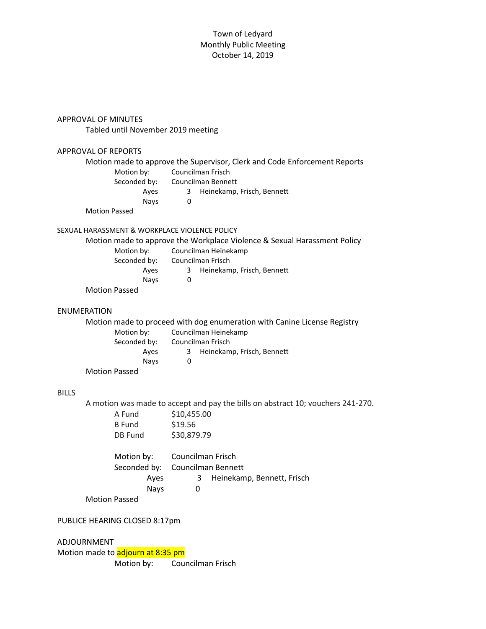### Town of Ledyard Monthly Public Meeting October 14, 2019

APPROVAL OF MINUTES

Tabled until November 2019 meeting

# APPROVAL OF REPORTS Motion made to approve the Supervisor, Clerk and Code Enforcement Reports Motion by: Councilman Frisch Seconded by: Councilman Bennett Ayes 3 Heinekamp, Frisch, Bennett Nays 0 Motion Passed SEXUAL HARASSMENT & WORKPLACE VIOLENCE POLICY Motion made to approve the Workplace Violence & Sexual Harassment Policy Motion by: Councilman Heinekamp Seconded by: Councilman Frisch Ayes 3 Heinekamp, Frisch, Bennett Nays 0 Motion Passed ENUMERATION Motion made to proceed with dog enumeration with Canine License Registry Motion by: Councilman Heinekamp Seconded by: Councilman Frisch Ayes 3 Heinekamp, Frisch, Bennett Nays 0 Motion Passed BILLS A motion was made to accept and pay the bills on abstract 10; vouchers 241-270. A Fund \$10,455.00 B Fund \$19.56 DB Fund \$30,879.79 Motion by: Councilman Frisch Seconded by: Councilman Bennett Ayes 3 Heinekamp, Bennett, Frisch Nays 0 Motion Passed PUBLICE HEARING CLOSED 8:17pm ADJOURNMENT Motion made to adjourn at 8:35 pm Motion by: Councilman Frisch